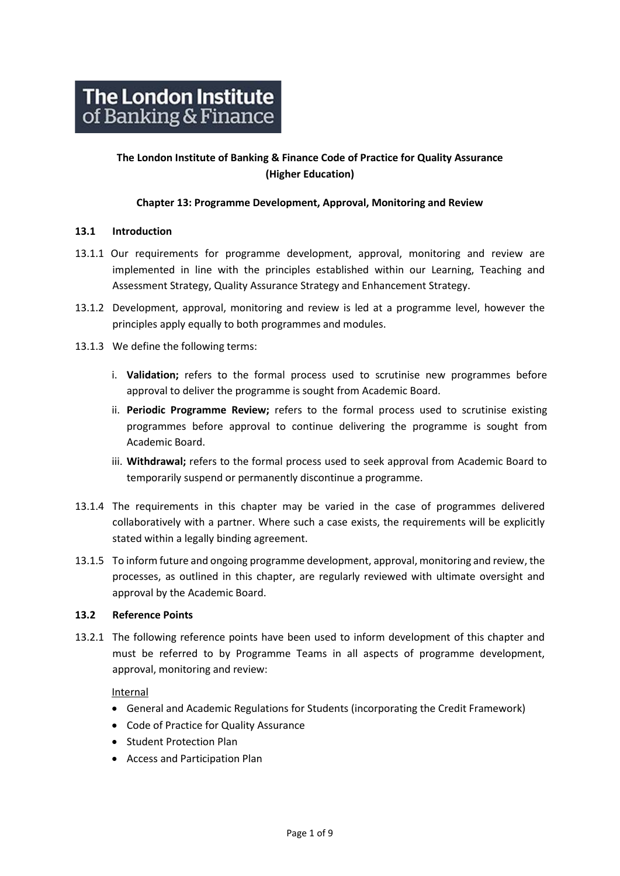# **The London Institute of Banking & Finance Code of Practice for Quality Assurance (Higher Education)**

#### **Chapter 13: Programme Development, Approval, Monitoring and Review**

#### **13.1 Introduction**

- 13.1.1 Our requirements for programme development, approval, monitoring and review are implemented in line with the principles established within our Learning, Teaching and Assessment Strategy, Quality Assurance Strategy and Enhancement Strategy.
- 13.1.2 Development, approval, monitoring and review is led at a programme level, however the principles apply equally to both programmes and modules.
- 13.1.3 We define the following terms:
	- i. **Validation;** refers to the formal process used to scrutinise new programmes before approval to deliver the programme is sought from Academic Board.
	- ii. **Periodic Programme Review;** refers to the formal process used to scrutinise existing programmes before approval to continue delivering the programme is sought from Academic Board.
	- iii. **Withdrawal;** refers to the formal process used to seek approval from Academic Board to temporarily suspend or permanently discontinue a programme.
- 13.1.4 The requirements in this chapter may be varied in the case of programmes delivered collaboratively with a partner. Where such a case exists, the requirements will be explicitly stated within a legally binding agreement.
- 13.1.5 To inform future and ongoing programme development, approval, monitoring and review, the processes, as outlined in this chapter, are regularly reviewed with ultimate oversight and approval by the Academic Board.

#### **13.2 Reference Points**

13.2.1 The following reference points have been used to inform development of this chapter and must be referred to by Programme Teams in all aspects of programme development, approval, monitoring and review:

# Internal

- [General and Academic Regulations for Students](http://www.libf.ac.uk/docs/default-source/HE/HE-Policies/general-and-academic-regulations.pdf?sfvrsn=0) (incorporating the Credit Framework)
- [Code of Practice for Quality Assurance](http://www.libf.ac.uk/about-us/policies-regulations-and-code-of-practice)
- Student Protection Plan
- Access and Participation Plan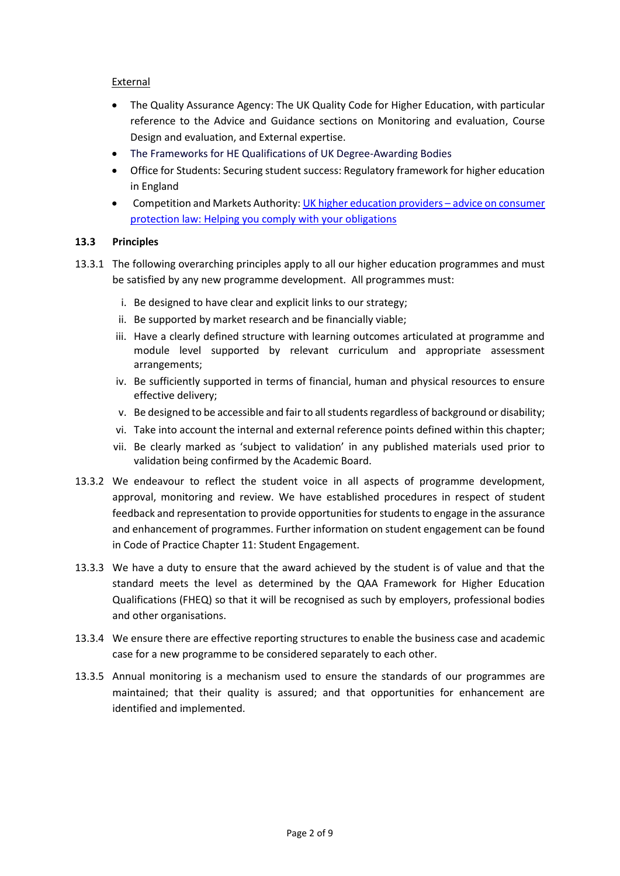## External

- The Quality Assurance Agency: The UK Quality Code for Higher Education, with particular reference to the Advice and Guidance sections on Monitoring and evaluation, Course Design and evaluation, and External expertise.
- The Frameworks for HE Qualifications of UK Degree-Awarding Bodies
- Office for Students: Securing student success: Regulatory framework for higher education in England
- Competition and Markets Authority[: UK higher education providers](https://assets.publishing.service.gov.uk/government/uploads/system/uploads/attachment_data/file/428549/HE_providers_-_advice_on_consumer_protection_law.pdf)  advice on consumer [protection law: Helping you comply with your obligations](https://assets.publishing.service.gov.uk/government/uploads/system/uploads/attachment_data/file/428549/HE_providers_-_advice_on_consumer_protection_law.pdf)

## **13.3 Principles**

- 13.3.1 The following overarching principles apply to all our higher education programmes and must be satisfied by any new programme development. All programmes must:
	- i. Be designed to have clear and explicit links to our strategy;
	- ii. Be supported by market research and be financially viable;
	- iii. Have a clearly defined structure with learning outcomes articulated at programme and module level supported by relevant curriculum and appropriate assessment arrangements;
	- iv. Be sufficiently supported in terms of financial, human and physical resources to ensure effective delivery;
	- v. Be designed to be accessible and fair to all students regardless of background or disability;
	- vi. Take into account the internal and external reference points defined within this chapter;
	- vii. Be clearly marked as 'subject to validation' in any published materials used prior to validation being confirmed by the Academic Board.
- 13.3.2 We endeavour to reflect the student voice in all aspects of programme development, approval, monitoring and review. We have established procedures in respect of student feedback and representation to provide opportunities for students to engage in the assurance and enhancement of programmes. Further information on student engagement can be found in Code of Practice Chapter 11: Student Engagement.
- 13.3.3 We have a duty to ensure that the award achieved by the student is of value and that the standard meets the level as determined by the QAA Framework for Higher Education Qualifications (FHEQ) so that it will be recognised as such by employers, professional bodies and other organisations.
- 13.3.4 We ensure there are effective reporting structures to enable the business case and academic case for a new programme to be considered separately to each other.
- 13.3.5 Annual monitoring is a mechanism used to ensure the standards of our programmes are maintained; that their quality is assured; and that opportunities for enhancement are identified and implemented.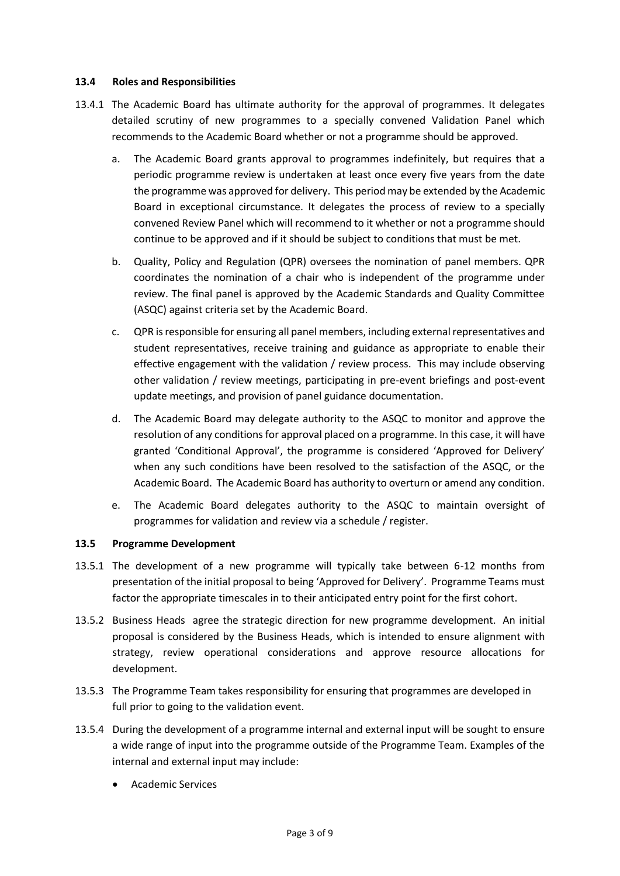#### **13.4 Roles and Responsibilities**

- 13.4.1 The Academic Board has ultimate authority for the approval of programmes. It delegates detailed scrutiny of new programmes to a specially convened Validation Panel which recommends to the Academic Board whether or not a programme should be approved.
	- a. The Academic Board grants approval to programmes indefinitely, but requires that a periodic programme review is undertaken at least once every five years from the date the programme was approved for delivery. This period may be extended by the Academic Board in exceptional circumstance. It delegates the process of review to a specially convened Review Panel which will recommend to it whether or not a programme should continue to be approved and if it should be subject to conditions that must be met.
	- b. Quality, Policy and Regulation (QPR) oversees the nomination of panel members. QPR coordinates the nomination of a chair who is independent of the programme under review. The final panel is approved by the Academic Standards and Quality Committee (ASQC) against criteria set by the Academic Board.
	- c. QPR is responsible for ensuring all panel members, including external representatives and student representatives, receive training and guidance as appropriate to enable their effective engagement with the validation / review process. This may include observing other validation / review meetings, participating in pre-event briefings and post-event update meetings, and provision of panel guidance documentation.
	- d. The Academic Board may delegate authority to the ASQC to monitor and approve the resolution of any conditions for approval placed on a programme. In this case, it will have granted 'Conditional Approval', the programme is considered 'Approved for Delivery' when any such conditions have been resolved to the satisfaction of the ASQC, or the Academic Board. The Academic Board has authority to overturn or amend any condition.
	- e. The Academic Board delegates authority to the ASQC to maintain oversight of programmes for validation and review via a schedule / register.

#### **13.5 Programme Development**

- 13.5.1 The development of a new programme will typically take between 6-12 months from presentation of the initial proposal to being 'Approved for Delivery'. Programme Teams must factor the appropriate timescales in to their anticipated entry point for the first cohort.
- 13.5.2 Business Heads agree the strategic direction for new programme development. An initial proposal is considered by the Business Heads, which is intended to ensure alignment with strategy, review operational considerations and approve resource allocations for development.
- 13.5.3 The Programme Team takes responsibility for ensuring that programmes are developed in full prior to going to the validation event.
- 13.5.4 During the development of a programme internal and external input will be sought to ensure a wide range of input into the programme outside of the Programme Team. Examples of the internal and external input may include:
	- Academic Services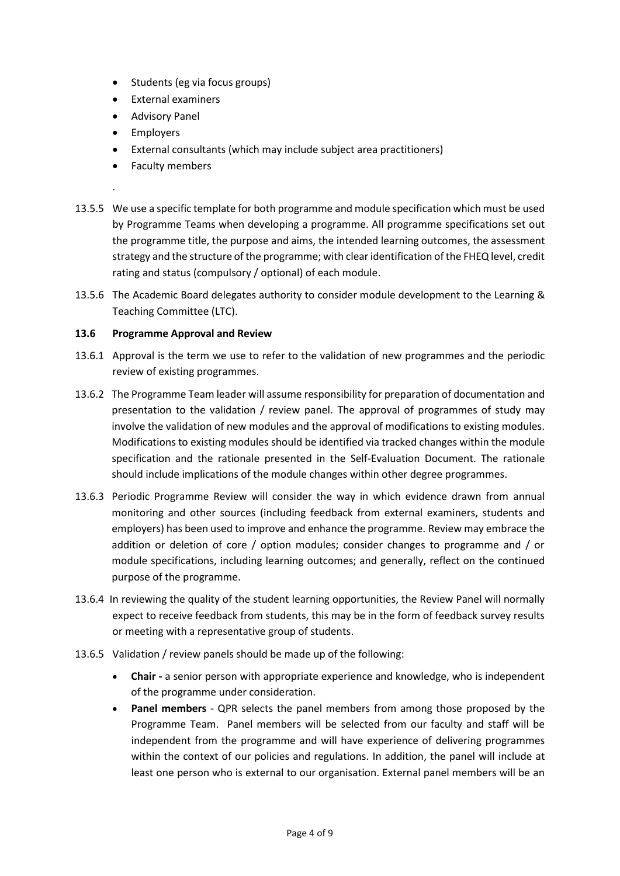- Students (eg via focus groups)
- External examiners
- Advisory Panel
- Employers

.

- External consultants (which may include subject area practitioners)
- Faculty members
- 13.5.5 We use a specific template for both programme and module specification which must be used by Programme Teams when developing a programme. All programme specifications set out the programme title, the purpose and aims, the intended learning outcomes, the assessment strategy and the structure of the programme; with clear identification of the FHEQ level, credit rating and status (compulsory / optional) of each module.
- 13.5.6 The Academic Board delegates authority to consider module development to the Learning & Teaching Committee (LTC).

## **13.6 Programme Approval and Review**

- 13.6.1 Approval is the term we use to refer to the validation of new programmes and the periodic review of existing programmes.
- 13.6.2 The Programme Team leader will assume responsibility for preparation of documentation and presentation to the validation / review panel. The approval of programmes of study may involve the validation of new modules and the approval of modifications to existing modules. Modifications to existing modules should be identified via tracked changes within the module specification and the rationale presented in the Self-Evaluation Document. The rationale should include implications of the module changes within other degree programmes.
- 13.6.3 Periodic Programme Review will consider the way in which evidence drawn from annual monitoring and other sources (including feedback from external examiners, students and employers) has been used to improve and enhance the programme. Review may embrace the addition or deletion of core / option modules; consider changes to programme and / or module specifications, including learning outcomes; and generally, reflect on the continued purpose of the programme.
- 13.6.4 In reviewing the quality of the student learning opportunities, the Review Panel will normally expect to receive feedback from students, this may be in the form of feedback survey results or meeting with a representative group of students.
- 13.6.5 Validation / review panels should be made up of the following:
	- **Chair -** a senior person with appropriate experience and knowledge, who is independent of the programme under consideration.
	- **Panel members**  QPR selects the panel members from among those proposed by the Programme Team. Panel members will be selected from our faculty and staff will be independent from the programme and will have experience of delivering programmes within the context of our policies and regulations. In addition, the panel will include at least one person who is external to our organisation. External panel members will be an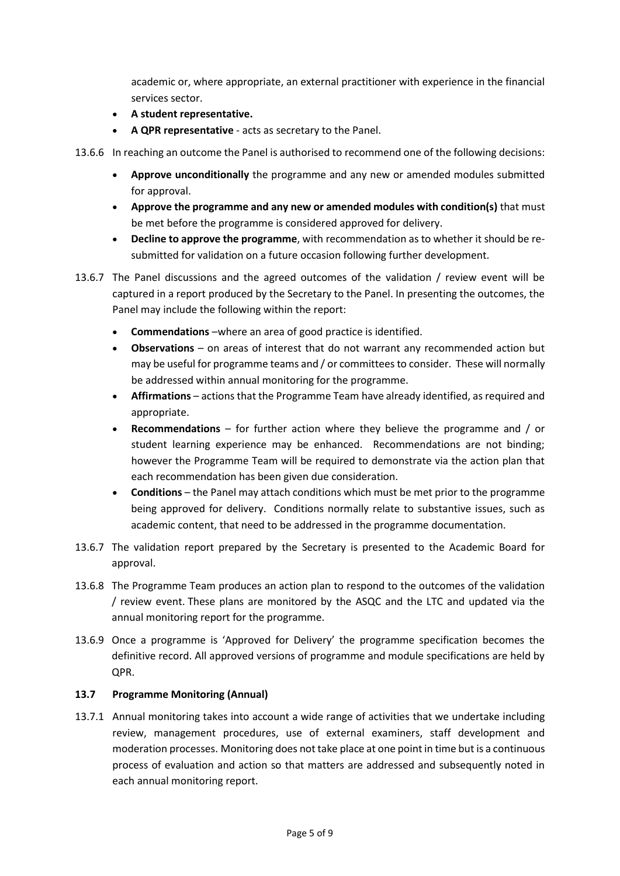academic or, where appropriate, an external practitioner with experience in the financial services sector.

- **A student representative.**
- **A QPR representative** acts as secretary to the Panel.

13.6.6 In reaching an outcome the Panel is authorised to recommend one of the following decisions:

- **Approve unconditionally** the programme and any new or amended modules submitted for approval.
- **Approve the programme and any new or amended modules with condition(s)** that must be met before the programme is considered approved for delivery.
- **Decline to approve the programme**, with recommendation as to whether it should be resubmitted for validation on a future occasion following further development.
- 13.6.7 The Panel discussions and the agreed outcomes of the validation / review event will be captured in a report produced by the Secretary to the Panel. In presenting the outcomes, the Panel may include the following within the report:
	- **Commendations** –where an area of good practice is identified.
	- **Observations** on areas of interest that do not warrant any recommended action but may be useful for programme teams and / or committees to consider. These will normally be addressed within annual monitoring for the programme.
	- **Affirmations** actions that the Programme Team have already identified, as required and appropriate.
	- **Recommendations** for further action where they believe the programme and / or student learning experience may be enhanced. Recommendations are not binding; however the Programme Team will be required to demonstrate via the action plan that each recommendation has been given due consideration.
	- **Conditions**  the Panel may attach conditions which must be met prior to the programme being approved for delivery. Conditions normally relate to substantive issues, such as academic content, that need to be addressed in the programme documentation.
- 13.6.7 The validation report prepared by the Secretary is presented to the Academic Board for approval.
- 13.6.8 The Programme Team produces an action plan to respond to the outcomes of the validation / review event. These plans are monitored by the ASQC and the LTC and updated via the annual monitoring report for the programme.
- 13.6.9 Once a programme is 'Approved for Delivery' the programme specification becomes the definitive record. All approved versions of programme and module specifications are held by QPR.

# **13.7 Programme Monitoring (Annual)**

13.7.1 Annual monitoring takes into account a wide range of activities that we undertake including review, management procedures, use of external examiners, staff development and moderation processes. Monitoring does not take place at one point in time but is a continuous process of evaluation and action so that matters are addressed and subsequently noted in each annual monitoring report.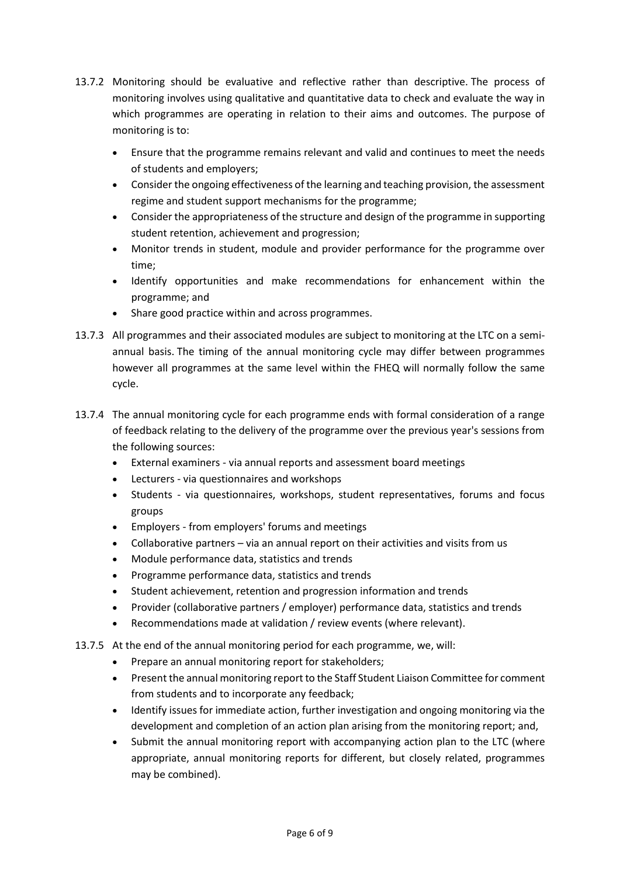- 13.7.2 Monitoring should be evaluative and reflective rather than descriptive. The process of monitoring involves using qualitative and quantitative data to check and evaluate the way in which programmes are operating in relation to their aims and outcomes. The purpose of monitoring is to:
	- Ensure that the programme remains relevant and valid and continues to meet the needs of students and employers;
	- Consider the ongoing effectiveness of the learning and teaching provision, the assessment regime and student support mechanisms for the programme;
	- Consider the appropriateness of the structure and design of the programme in supporting student retention, achievement and progression;
	- Monitor trends in student, module and provider performance for the programme over time;
	- Identify opportunities and make recommendations for enhancement within the programme; and
	- Share good practice within and across programmes.
- 13.7.3 All programmes and their associated modules are subject to monitoring at the LTC on a semiannual basis. The timing of the annual monitoring cycle may differ between programmes however all programmes at the same level within the FHEQ will normally follow the same cycle.
- 13.7.4 The annual monitoring cycle for each programme ends with formal consideration of a range of feedback relating to the delivery of the programme over the previous year's sessions from the following sources:
	- External examiners via annual reports and assessment board meetings
	- Lecturers via questionnaires and workshops
	- Students via questionnaires, workshops, student representatives, forums and focus groups
	- Employers from employers' forums and meetings
	- Collaborative partners via an annual report on their activities and visits from us
	- Module performance data, statistics and trends
	- Programme performance data, statistics and trends
	- Student achievement, retention and progression information and trends
	- Provider (collaborative partners / employer) performance data, statistics and trends
	- Recommendations made at validation / review events (where relevant).
- 13.7.5 At the end of the annual monitoring period for each programme, we, will:
	- Prepare an annual monitoring report for stakeholders;
	- Present the annual monitoring report to the Staff Student Liaison Committee for comment from students and to incorporate any feedback;
	- Identify issues for immediate action, further investigation and ongoing monitoring via the development and completion of an action plan arising from the monitoring report; and,
	- Submit the annual monitoring report with accompanying action plan to the LTC (where appropriate, annual monitoring reports for different, but closely related, programmes may be combined).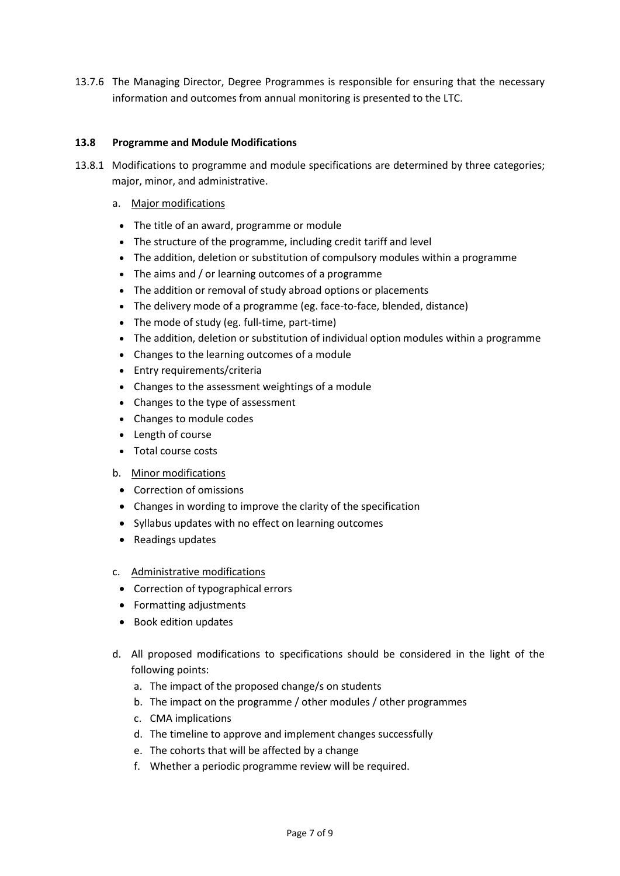13.7.6 The Managing Director, Degree Programmes is responsible for ensuring that the necessary information and outcomes from annual monitoring is presented to the LTC.

#### **13.8 Programme and Module Modifications**

- 13.8.1 Modifications to programme and module specifications are determined by three categories; major, minor, and administrative.
	- a. Major modifications
		- The title of an award, programme or module
		- The structure of the programme, including credit tariff and level
		- The addition, deletion or substitution of compulsory modules within a programme
		- The aims and / or learning outcomes of a programme
		- The addition or removal of study abroad options or placements
		- The delivery mode of a programme (eg. face-to-face, blended, distance)
		- The mode of study (eg. full-time, part-time)
		- The addition, deletion or substitution of individual option modules within a programme
		- Changes to the learning outcomes of a module
		- Entry requirements/criteria
		- Changes to the assessment weightings of a module
		- Changes to the type of assessment
		- Changes to module codes
		- Length of course
		- Total course costs
	- b. Minor modifications
		- Correction of omissions
		- Changes in wording to improve the clarity of the specification
		- Syllabus updates with no effect on learning outcomes
		- Readings updates
	- c. Administrative modifications
		- Correction of typographical errors
		- Formatting adjustments
		- Book edition updates
	- d. All proposed modifications to specifications should be considered in the light of the following points:
		- a. The impact of the proposed change/s on students
		- b. The impact on the programme / other modules / other programmes
		- c. CMA implications
		- d. The timeline to approve and implement changes successfully
		- e. The cohorts that will be affected by a change
		- f. Whether a periodic programme review will be required.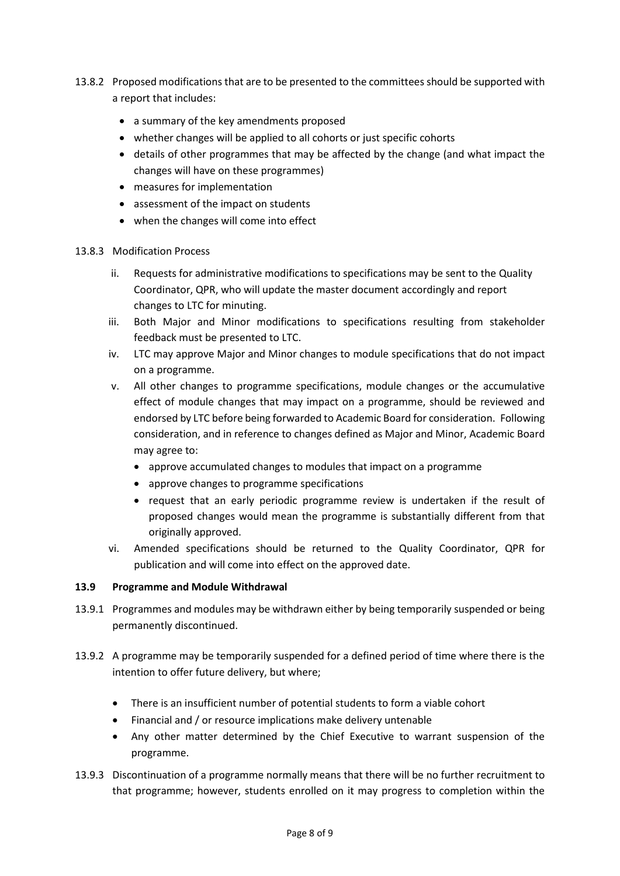- 13.8.2 Proposed modifications that are to be presented to the committees should be supported with a report that includes:
	- a summary of the key amendments proposed
	- whether changes will be applied to all cohorts or just specific cohorts
	- details of other programmes that may be affected by the change (and what impact the changes will have on these programmes)
	- measures for implementation
	- assessment of the impact on students
	- when the changes will come into effect

## 13.8.3 Modification Process

- ii. Requests for administrative modifications to specifications may be sent to the Quality Coordinator, QPR, who will update the master document accordingly and report changes to LTC for minuting.
- iii. Both Major and Minor modifications to specifications resulting from stakeholder feedback must be presented to LTC.
- iv. LTC may approve Major and Minor changes to module specifications that do not impact on a programme.
- v. All other changes to programme specifications, module changes or the accumulative effect of module changes that may impact on a programme, should be reviewed and endorsed by LTC before being forwarded to Academic Board for consideration. Following consideration, and in reference to changes defined as Major and Minor, Academic Board may agree to:
	- approve accumulated changes to modules that impact on a programme
	- approve changes to programme specifications
	- request that an early periodic programme review is undertaken if the result of proposed changes would mean the programme is substantially different from that originally approved.
- vi. Amended specifications should be returned to the Quality Coordinator, QPR for publication and will come into effect on the approved date.

# **13.9 Programme and Module Withdrawal**

- 13.9.1 Programmes and modules may be withdrawn either by being temporarily suspended or being permanently discontinued.
- 13.9.2 A programme may be temporarily suspended for a defined period of time where there is the intention to offer future delivery, but where;
	- There is an insufficient number of potential students to form a viable cohort
	- Financial and / or resource implications make delivery untenable
	- Any other matter determined by the Chief Executive to warrant suspension of the programme.
- 13.9.3 Discontinuation of a programme normally means that there will be no further recruitment to that programme; however, students enrolled on it may progress to completion within the